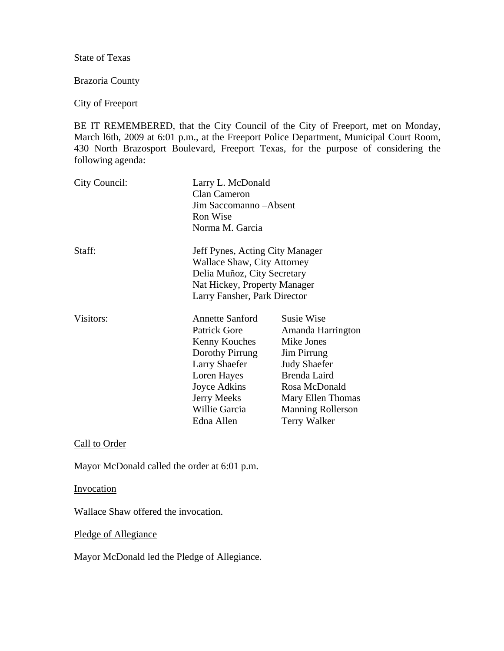State of Texas

Brazoria County

City of Freeport

BE IT REMEMBERED, that the City Council of the City of Freeport, met on Monday, March l6th, 2009 at 6:01 p.m., at the Freeport Police Department, Municipal Court Room, 430 North Brazosport Boulevard, Freeport Texas, for the purpose of considering the following agenda:

| City Council: | Larry L. McDonald<br><b>Clan Cameron</b><br>Jim Saccomanno-Absent<br>Ron Wise<br>Norma M. Garcia                                                                                              |                                                                                                                                                                                                            |
|---------------|-----------------------------------------------------------------------------------------------------------------------------------------------------------------------------------------------|------------------------------------------------------------------------------------------------------------------------------------------------------------------------------------------------------------|
| Staff:        | Jeff Pynes, Acting City Manager<br><b>Wallace Shaw, City Attorney</b><br>Delia Muñoz, City Secretary<br>Nat Hickey, Property Manager<br>Larry Fansher, Park Director                          |                                                                                                                                                                                                            |
| Visitors:     | <b>Annette Sanford</b><br><b>Patrick Gore</b><br>Kenny Kouches<br>Dorothy Pirrung<br><b>Larry Shaefer</b><br>Loren Hayes<br>Joyce Adkins<br><b>Jerry Meeks</b><br>Willie Garcia<br>Edna Allen | <b>Susie Wise</b><br>Amanda Harrington<br>Mike Jones<br><b>Jim Pirrung</b><br><b>Judy Shaefer</b><br>Brenda Laird<br>Rosa McDonald<br>Mary Ellen Thomas<br><b>Manning Rollerson</b><br><b>Terry Walker</b> |

Call to Order

Mayor McDonald called the order at 6:01 p.m.

Invocation

Wallace Shaw offered the invocation.

Pledge of Allegiance

Mayor McDonald led the Pledge of Allegiance.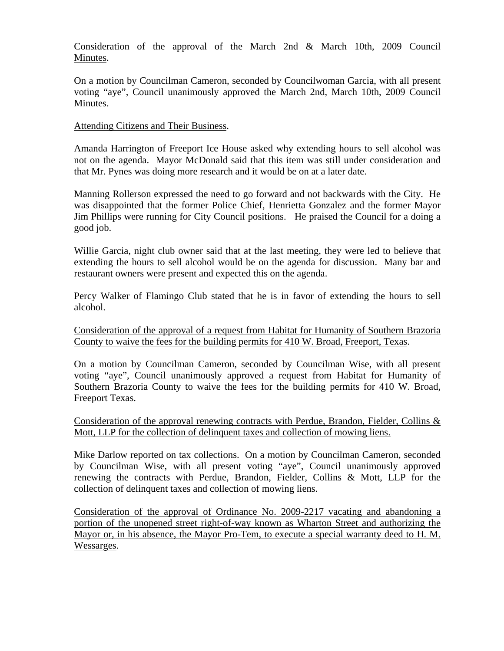## Consideration of the approval of the March 2nd & March 10th, 2009 Council Minutes.

On a motion by Councilman Cameron, seconded by Councilwoman Garcia, with all present voting "aye", Council unanimously approved the March 2nd, March 10th, 2009 Council Minutes.

## Attending Citizens and Their Business.

Amanda Harrington of Freeport Ice House asked why extending hours to sell alcohol was not on the agenda. Mayor McDonald said that this item was still under consideration and that Mr. Pynes was doing more research and it would be on at a later date.

Manning Rollerson expressed the need to go forward and not backwards with the City. He was disappointed that the former Police Chief, Henrietta Gonzalez and the former Mayor Jim Phillips were running for City Council positions. He praised the Council for a doing a good job.

Willie Garcia, night club owner said that at the last meeting, they were led to believe that extending the hours to sell alcohol would be on the agenda for discussion. Many bar and restaurant owners were present and expected this on the agenda.

Percy Walker of Flamingo Club stated that he is in favor of extending the hours to sell alcohol.

Consideration of the approval of a request from Habitat for Humanity of Southern Brazoria County to waive the fees for the building permits for 410 W. Broad, Freeport, Texas.

On a motion by Councilman Cameron, seconded by Councilman Wise, with all present voting "aye", Council unanimously approved a request from Habitat for Humanity of Southern Brazoria County to waive the fees for the building permits for 410 W. Broad, Freeport Texas.

Consideration of the approval renewing contracts with Perdue, Brandon, Fielder, Collins  $\&$ Mott, LLP for the collection of delinquent taxes and collection of mowing liens.

Mike Darlow reported on tax collections. On a motion by Councilman Cameron, seconded by Councilman Wise, with all present voting "aye", Council unanimously approved renewing the contracts with Perdue, Brandon, Fielder, Collins & Mott, LLP for the collection of delinquent taxes and collection of mowing liens.

Consideration of the approval of Ordinance No. 2009-2217 vacating and abandoning a portion of the unopened street right-of-way known as Wharton Street and authorizing the Mayor or, in his absence, the Mayor Pro-Tem, to execute a special warranty deed to H. M. Wessarges.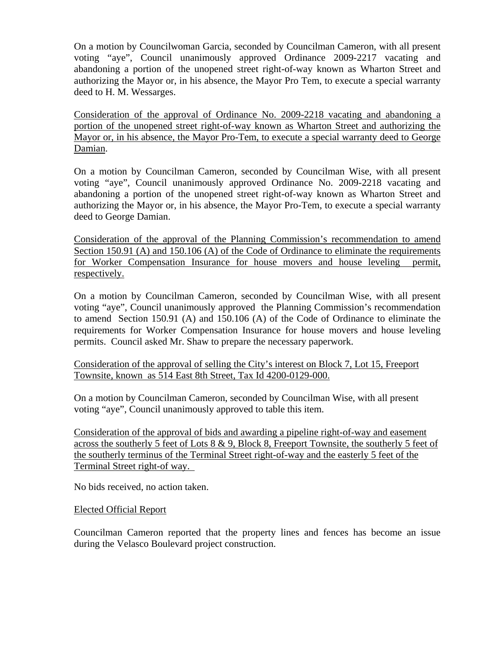On a motion by Councilwoman Garcia, seconded by Councilman Cameron, with all present voting "aye", Council unanimously approved Ordinance 2009-2217 vacating and abandoning a portion of the unopened street right-of-way known as Wharton Street and authorizing the Mayor or, in his absence, the Mayor Pro Tem, to execute a special warranty deed to H. M. Wessarges.

Consideration of the approval of Ordinance No. 2009-2218 vacating and abandoning a portion of the unopened street right-of-way known as Wharton Street and authorizing the Mayor or, in his absence, the Mayor Pro-Tem, to execute a special warranty deed to George Damian.

On a motion by Councilman Cameron, seconded by Councilman Wise, with all present voting "aye", Council unanimously approved Ordinance No. 2009-2218 vacating and abandoning a portion of the unopened street right-of-way known as Wharton Street and authorizing the Mayor or, in his absence, the Mayor Pro-Tem, to execute a special warranty deed to George Damian.

Consideration of the approval of the Planning Commission's recommendation to amend Section 150.91 (A) and 150.106 (A) of the Code of Ordinance to eliminate the requirements for Worker Compensation Insurance for house movers and house leveling permit, respectively.

On a motion by Councilman Cameron, seconded by Councilman Wise, with all present voting "aye", Council unanimously approved the Planning Commission's recommendation to amend Section 150.91 (A) and 150.106 (A) of the Code of Ordinance to eliminate the requirements for Worker Compensation Insurance for house movers and house leveling permits. Council asked Mr. Shaw to prepare the necessary paperwork.

Consideration of the approval of selling the City's interest on Block 7, Lot 15, Freeport Townsite, known as 514 East 8th Street, Tax Id 4200-0129-000.

On a motion by Councilman Cameron, seconded by Councilman Wise, with all present voting "aye", Council unanimously approved to table this item.

Consideration of the approval of bids and awarding a pipeline right-of-way and easement across the southerly 5 feet of Lots 8 & 9, Block 8, Freeport Townsite, the southerly 5 feet of the southerly terminus of the Terminal Street right-of-way and the easterly 5 feet of the Terminal Street right-of way.

No bids received, no action taken.

## Elected Official Report

Councilman Cameron reported that the property lines and fences has become an issue during the Velasco Boulevard project construction.